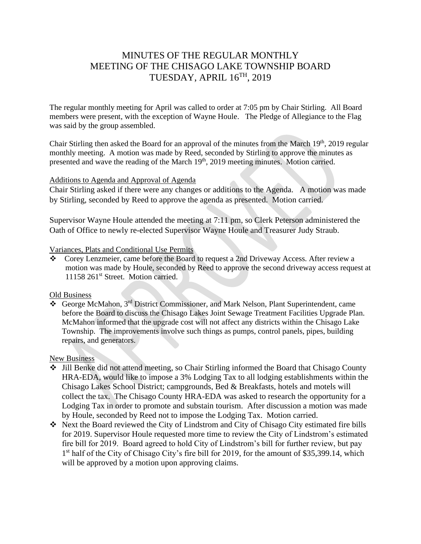# MINUTES OF THE REGULAR MONTHLY MEETING OF THE CHISAGO LAKE TOWNSHIP BOARD TUESDAY, APRIL  $16^{TH}$ , 2019

The regular monthly meeting for April was called to order at 7:05 pm by Chair Stirling. All Board members were present, with the exception of Wayne Houle. The Pledge of Allegiance to the Flag was said by the group assembled.

Chair Stirling then asked the Board for an approval of the minutes from the March  $19<sup>th</sup>$ , 2019 regular monthly meeting. A motion was made by Reed, seconded by Stirling to approve the minutes as presented and wave the reading of the March 19<sup>th</sup>, 2019 meeting minutes. Motion carried.

#### Additions to Agenda and Approval of Agenda

Chair Stirling asked if there were any changes or additions to the Agenda. A motion was made by Stirling, seconded by Reed to approve the agenda as presented. Motion carried.

Supervisor Wayne Houle attended the meeting at 7:11 pm, so Clerk Peterson administered the Oath of Office to newly re-elected Supervisor Wayne Houle and Treasurer Judy Straub.

## Variances, Plats and Conditional Use Permits

❖ Corey Lenzmeier, came before the Board to request a 2nd Driveway Access. After review a motion was made by Houle, seconded by Reed to approve the second driveway access request at 11158 261<sup>st</sup> Street. Motion carried.

Old Business

❖ George McMahon, 3rd District Commissioner, and Mark Nelson, Plant Superintendent, came before the Board to discuss the Chisago Lakes Joint Sewage Treatment Facilities Upgrade Plan. McMahon informed that the upgrade cost will not affect any districts within the Chisago Lake Township. The improvements involve such things as pumps, control panels, pipes, building repairs, and generators.

### New Business

- ❖ Jill Benke did not attend meeting, so Chair Stirling informed the Board that Chisago County HRA-EDA, would like to impose a 3% Lodging Tax to all lodging establishments within the Chisago Lakes School District; campgrounds, Bed & Breakfasts, hotels and motels will collect the tax. The Chisago County HRA-EDA was asked to research the opportunity for a Lodging Tax in order to promote and substain tourism. After discussion a motion was made by Houle, seconded by Reed not to impose the Lodging Tax. Motion carried.
- ❖ Next the Board reviewed the City of Lindstrom and City of Chisago City estimated fire bills for 2019. Supervisor Houle requested more time to review the City of Lindstrom's estimated fire bill for 2019. Board agreed to hold City of Lindstrom's bill for further review, but pay 1<sup>st</sup> half of the City of Chisago City's fire bill for 2019, for the amount of \$35,399.14, which will be approved by a motion upon approving claims.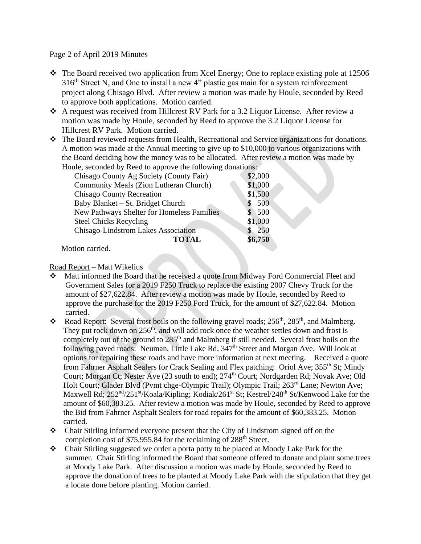## Page 2 of April 2019 Minutes

- ❖ The Board received two application from Xcel Energy; One to replace existing pole at 12506  $316<sup>th</sup>$  Street N, and One to install a new 4" plastic gas main for a system reinforcement project along Chisago Blvd. After review a motion was made by Houle, seconded by Reed to approve both applications. Motion carried.
- ❖ A request was received from Hillcrest RV Park for a 3.2 Liquor License. After review a motion was made by Houle, seconded by Reed to approve the 3.2 Liquor License for Hillcrest RV Park. Motion carried.
- ❖ The Board reviewed requests from Health, Recreational and Service organizations for donations. A motion was made at the Annual meeting to give up to \$10,000 to various organizations with the Board deciding how the money was to be allocated. After review a motion was made by Houle, seconded by Reed to approve the following donations:

| $\mu$ , second $\sigma$ is need to approve the following domations. |         |
|---------------------------------------------------------------------|---------|
| Chisago County Ag Society (County Fair)                             | \$2,000 |
| Community Meals (Zion Lutheran Church)                              | \$1,000 |
| <b>Chisago County Recreation</b>                                    | \$1,500 |
| Baby Blanket – St. Bridget Church                                   | 500     |
| New Pathways Shelter for Homeless Families                          | 500     |
| <b>Steel Chicks Recycling</b>                                       | \$1,000 |
| Chisago-Lindstrom Lakes Association                                 | 250     |
| <b>TOTAL</b>                                                        | \$6,750 |
|                                                                     |         |

Motion carried.

### Road Report – Matt Wikelius

- Matt informed the Board that he received a quote from Midway Ford Commercial Fleet and Government Sales for a 2019 F250 Truck to replace the existing 2007 Chevy Truck for the amount of \$27,622.84. After review a motion was made by Houle, seconded by Reed to approve the purchase for the 2019 F250 Ford Truck, for the amount of \$27,622.84. Motion carried.
- $\bullet$  Road Report: Several frost boils on the following gravel roads; 256<sup>th</sup>, 285<sup>th</sup>, and Malmberg. They put rock down on  $256<sup>th</sup>$ , and will add rock once the weather settles down and frost is completely out of the ground to 285<sup>th</sup> and Malmberg if still needed. Several frost boils on the following paved roads: Neuman, Little Lake Rd, 347<sup>th</sup> Street and Morgan Ave. Will look at options for repairing these roads and have more information at next meeting. Received a quote from Fahrner Asphalt Sealers for Crack Sealing and Flex patching: Oriol Ave; 355<sup>th</sup> St; Mindy Court; Morgan Ct; Nester Ave (23 south to end); 274<sup>th</sup> Court; Nordgarden Rd; Novak Ave; Old Holt Court; Glader Blvd (Pvmt chge-Olympic Trail); Olympic Trail; 263<sup>rd</sup> Lane; Newton Ave; Maxwell Rd; 252<sup>nd</sup>/251<sup>st</sup>/Koala/Kipling; Kodiak/261<sup>st</sup> St; Kestrel/248<sup>th</sup> St/Kenwood Lake for the amount of \$60,383.25. After review a motion was made by Houle, seconded by Reed to approve the Bid from Fahrner Asphalt Sealers for road repairs for the amount of \$60,383.25. Motion carried.
- ❖ Chair Stirling informed everyone present that the City of Lindstrom signed off on the completion cost of \$75,955.84 for the reclaiming of 288<sup>th</sup> Street.
- ❖ Chair Stirling suggested we order a porta potty to be placed at Moody Lake Park for the summer. Chair Stirling informed the Board that someone offered to donate and plant some trees at Moody Lake Park. After discussion a motion was made by Houle, seconded by Reed to approve the donation of trees to be planted at Moody Lake Park with the stipulation that they get a locate done before planting. Motion carried.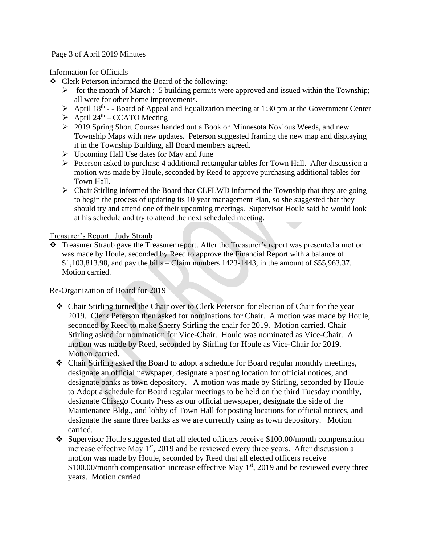## Page 3 of April 2019 Minutes

### Information for Officials

❖ Clerk Peterson informed the Board of the following:

- $\triangleright$  for the month of March : 5 building permits were approved and issued within the Township; all were for other home improvements.
- ➢ April 18th - Board of Appeal and Equalization meeting at 1:30 pm at the Government Center
- $\triangleright$  April 24<sup>th</sup> CCATO Meeting
- $\geq 2019$  Spring Short Courses handed out a Book on Minnesota Noxious Weeds, and new Township Maps with new updates. Peterson suggested framing the new map and displaying it in the Township Building, all Board members agreed.
- ➢ Upcoming Hall Use dates for May and June
- $\triangleright$  Peterson asked to purchase 4 additional rectangular tables for Town Hall. After discussion a motion was made by Houle, seconded by Reed to approve purchasing additional tables for Town Hall.
- $\triangleright$  Chair Stirling informed the Board that CLFLWD informed the Township that they are going to begin the process of updating its 10 year management Plan, so she suggested that they should try and attend one of their upcoming meetings. Supervisor Houle said he would look at his schedule and try to attend the next scheduled meeting.

## Treasurer's Report \_Judy Straub

❖ Treasurer Straub gave the Treasurer report. After the Treasurer's report was presented a motion was made by Houle, seconded by Reed to approve the Financial Report with a balance of \$1,103,813.98, and pay the bills – Claim numbers 1423-1443, in the amount of \$55,963.37. Motion carried.

## Re-Organization of Board for 2019

- ❖ Chair Stirling turned the Chair over to Clerk Peterson for election of Chair for the year 2019. Clerk Peterson then asked for nominations for Chair. A motion was made by Houle, seconded by Reed to make Sherry Stirling the chair for 2019. Motion carried. Chair Stirling asked for nomination for Vice-Chair. Houle was nominated as Vice-Chair. A motion was made by Reed, seconded by Stirling for Houle as Vice-Chair for 2019. Motion carried.
- ❖ Chair Stirling asked the Board to adopt a schedule for Board regular monthly meetings, designate an official newspaper, designate a posting location for official notices, and designate banks as town depository. A motion was made by Stirling, seconded by Houle to Adopt a schedule for Board regular meetings to be held on the third Tuesday monthly, designate Chisago County Press as our official newspaper, designate the side of the Maintenance Bldg., and lobby of Town Hall for posting locations for official notices, and designate the same three banks as we are currently using as town depository. Motion carried.
- $\div$  Supervisor Houle suggested that all elected officers receive \$100.00/month compensation increase effective May  $1<sup>st</sup>$ , 2019 and be reviewed every three years. After discussion a motion was made by Houle, seconded by Reed that all elected officers receive  $$100.00/m$  onth compensation increase effective May 1<sup>st</sup>, 2019 and be reviewed every three years. Motion carried.